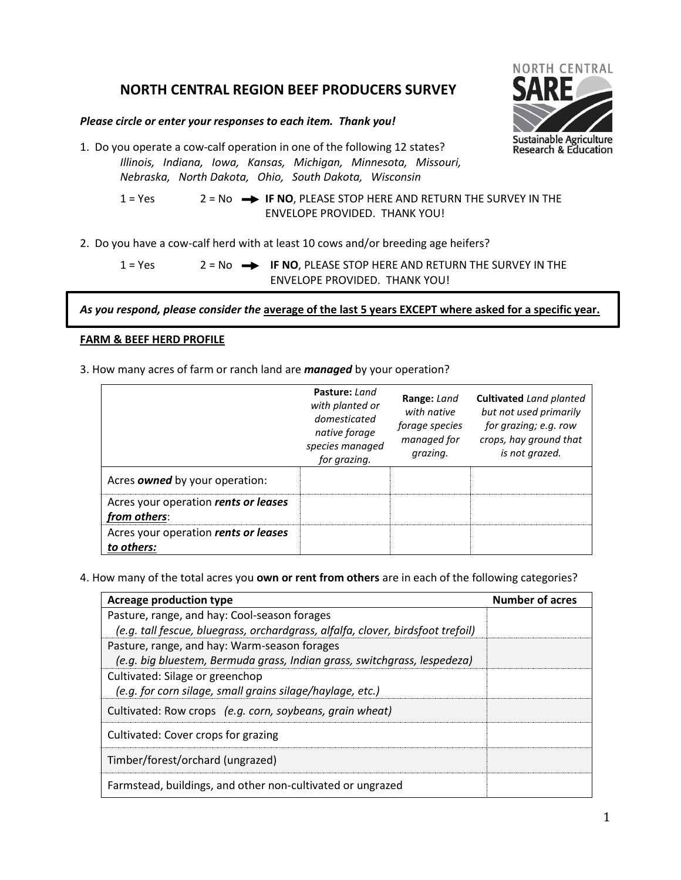# **NORTH CENTRAL REGION BEEF PRODUCERS SURVEY**

## *Please circle or enter your responses to each item. Thank you!*

1. Do you operate a cow-calf operation in one of the following 12 states? *Illinois, Indiana, Iowa, Kansas, Michigan, Minnesota, Missouri, Nebraska, North Dakota, Ohio, South Dakota, Wisconsin*

> 1 = Yes 2 = No **-> IF NO**, PLEASE STOP HERE AND RETURN THE SURVEY IN THE ENVELOPE PROVIDED. THANK YOU!

2. Do you have a cow-calf herd with at least 10 cows and/or breeding age heifers?

$$
1 = Yes
$$
  $2 = No$  **IF NO**, PLEASE STOP HERE AND RETURN THE SURVEY IN THE  
ENVELOPE PROVIDED. THANK YOU!

*As you respond, please consider the* **average of the last 5 years EXCEPT where asked for a specific year.**

## **FARM & BEEF HERD PROFILE**

3. How many acres of farm or ranch land are *managed* by your operation?

|                                                      | Pasture: Land<br>with planted or<br>domesticated<br>native forage<br>species managed<br>for grazing. | Range: Land<br>with native<br>forage species<br>managed for<br>grazing. | <b>Cultivated</b> Land planted<br>but not used primarily<br>for grazing; e.g. row<br>crops, hay ground that<br>is not grazed. |
|------------------------------------------------------|------------------------------------------------------------------------------------------------------|-------------------------------------------------------------------------|-------------------------------------------------------------------------------------------------------------------------------|
| Acres owned by your operation:                       |                                                                                                      |                                                                         |                                                                                                                               |
| Acres your operation rents or leases<br>from others: |                                                                                                      |                                                                         |                                                                                                                               |
| Acres your operation rents or leases<br>to others:   |                                                                                                      |                                                                         |                                                                                                                               |

4. How many of the total acres you **own or rent from others** are in each of the following categories?

| Acreage production type                                                         | <b>Number of acres</b> |
|---------------------------------------------------------------------------------|------------------------|
| Pasture, range, and hay: Cool-season forages                                    |                        |
| (e.g. tall fescue, bluegrass, orchardgrass, alfalfa, clover, birdsfoot trefoil) |                        |
| Pasture, range, and hay: Warm-season forages                                    |                        |
| (e.g. big bluestem, Bermuda grass, Indian grass, switchgrass, lespedeza)        |                        |
| Cultivated: Silage or greenchop                                                 |                        |
| (e.g. for corn silage, small grains silage/haylage, etc.)                       |                        |
| Cultivated: Row crops (e.g. corn, soybeans, grain wheat)                        |                        |
| Cultivated: Cover crops for grazing                                             |                        |
| Timber/forest/orchard (ungrazed)                                                |                        |
| Farmstead, buildings, and other non-cultivated or ungrazed                      |                        |

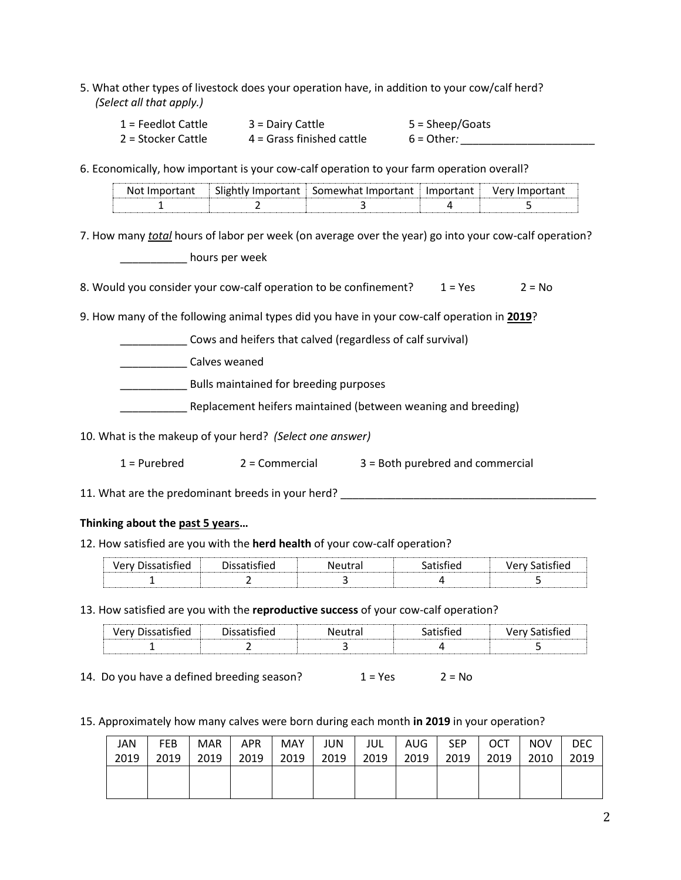5. What other types of livestock does your operation have, in addition to your cow/calf herd? *(Select all that apply.)*

| $1$ = Feedlot Cattle | $3 =$ Dairy Cattle        | 5 = Sheep/Goats |
|----------------------|---------------------------|-----------------|
| 2 = Stocker Cattle   | 4 = Grass finished cattle | $6 = Other:$    |

6. Economically, how important is your cow-calf operation to your farm operation overall?

| N. | Imnortant<br>Slightly | Somewhat Important | tant. | verv |
|----|-----------------------|--------------------|-------|------|
|    |                       |                    |       |      |

7. How many *total* hours of labor per week (on average over the year) go into your cow-calf operation?

\_\_\_\_\_\_\_\_\_\_\_ hours per week

8. Would you consider your cow-calf operation to be confinement?  $1 = Yes$   $2 = No$ 

9. How many of the following animal types did you have in your cow-calf operation in **2019**?

\_\_\_\_\_\_\_\_\_\_\_ Cows and heifers that calved (regardless of calf survival)

\_\_\_\_\_\_\_\_\_\_\_ Calves weaned

\_\_\_\_\_\_\_\_\_\_\_ Bulls maintained for breeding purposes

Replacement heifers maintained (between weaning and breeding)

10. What is the makeup of your herd? *(Select one answer)*

1 = Purebred 2 = Commercial 3 = Both purebred and commercial

11. What are the predominant breeds in your herd? \_\_\_\_\_\_\_\_\_\_\_\_\_\_\_\_\_\_\_\_\_\_\_\_\_\_\_\_\_\_

## **Thinking about the past 5 years…**

## 12. How satisfied are you with the **herd health** of your cow-calf operation?

| . .<br><u> birinin ilirin ilirin ilirin ilirin ili</u> | . . | - - - - |  |
|--------------------------------------------------------|-----|---------|--|
|                                                        |     |         |  |

13. How satisfied are you with the **reproductive success** of your cow-calf operation?

| . .<br><u> --------------------------</u> | - -<br>. | $N121 + 522$ |  |
|-------------------------------------------|----------|--------------|--|
|                                           |          |              |  |

14. Do you have a defined breeding season?  $1 = Yes$   $2 = No$ 

15. Approximately how many calves were born during each month **in 2019** in your operation?

| JAN  | <b>FEB</b> | <b>MAR</b> | APR  | MAY  | JUN  | jul  | AUG  | <b>SEP</b> | OCT  | <b>NOV</b> | DEC  |
|------|------------|------------|------|------|------|------|------|------------|------|------------|------|
| 2019 | 2019       | 2019       | 2019 | 2019 | 2019 | 2019 | 2019 | 2019       | 2019 | 2010       | 2019 |
|      |            |            |      |      |      |      |      |            |      |            |      |
|      |            |            |      |      |      |      |      |            |      |            |      |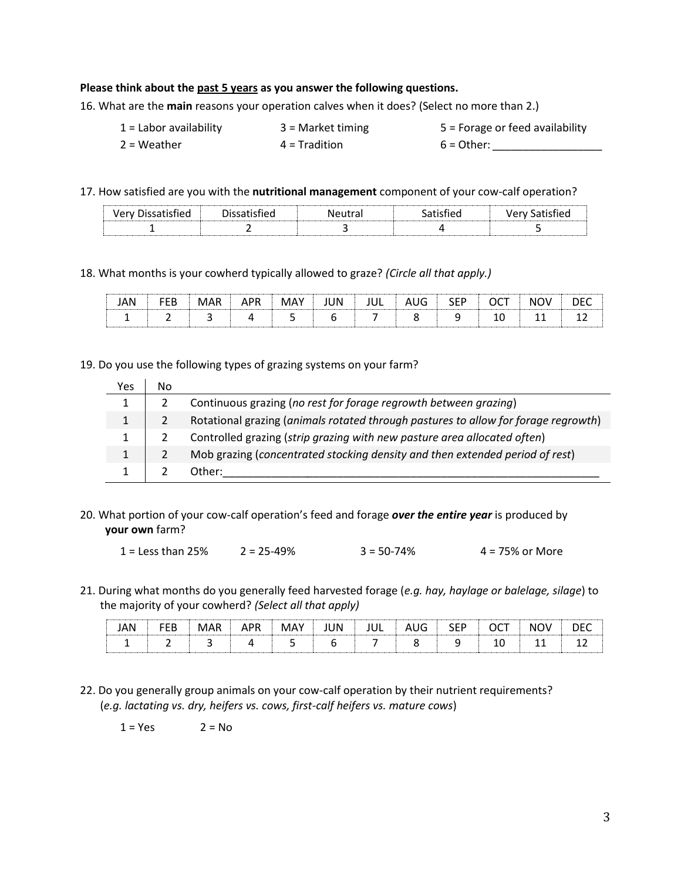#### **Please think about the past 5 years as you answer the following questions.**

16. What are the **main** reasons your operation calves when it does? (Select no more than 2.)

- 1 = Labor availability 3 = Market timing 5 = Forage or feed availability
- 2 = Weather 4 = Tradition 6 = Other: <u>\_\_\_\_\_\_\_\_\_\_\_\_\_\_\_</u>
- -

17. How satisfied are you with the **nutritional management** component of your cow-calf operation?

| ີ<br>. | יש | -----<br>a | ັ | <br> |
|--------|----|------------|---|------|
|        |    |            |   |      |

18. What months is your cowherd typically allowed to graze? *(Circle all that apply.)*

|  |  | M | JN | -<br> | ---<br>$-$      | $\sim$ | 'V<br>M | <b>**************</b><br>. . |
|--|--|---|----|-------|-----------------|--------|---------|------------------------------|
|  |  |   |    |       | <b>START OF</b> | ∸      | --      | --                           |

19. Do you use the following types of grazing systems on your farm?

| Yes          | No |                                                                                    |
|--------------|----|------------------------------------------------------------------------------------|
| 1            |    | Continuous grazing (no rest for forage regrowth between grazing)                   |
| $\mathbf{1}$ |    | Rotational grazing (animals rotated through pastures to allow for forage regrowth) |
| $\mathbf{1}$ |    | Controlled grazing (strip grazing with new pasture area allocated often)           |
| 1            |    | Mob grazing (concentrated stocking density and then extended period of rest)       |
|              |    | Other:                                                                             |

20. What portion of your cow-calf operation's feed and forage *over the entire year* is produced by **your own** farm?

1 = Less than 25% 2 = 25-49% 3 = 50-74% 4 = 75% or More

21. During what months do you generally feed harvested forage (*e.g. hay, haylage or balelage, silage*) to the majority of your cowherd? *(Select all that apply)*

| N |   |  | <br>JN<br> | ∽<br>JС<br> | $\sim$<br> | $\sim$ $-$<br>◡ | IM.<br>JV | <br>⊩<br> |
|---|---|--|------------|-------------|------------|-----------------|-----------|-----------|
|   | - |  |            |             |            | --              | --        | --        |

22. Do you generally group animals on your cow-calf operation by their nutrient requirements? (*e.g. lactating vs. dry, heifers vs. cows, first-calf heifers vs. mature cows*)

 $1 = Yes$   $2 = No$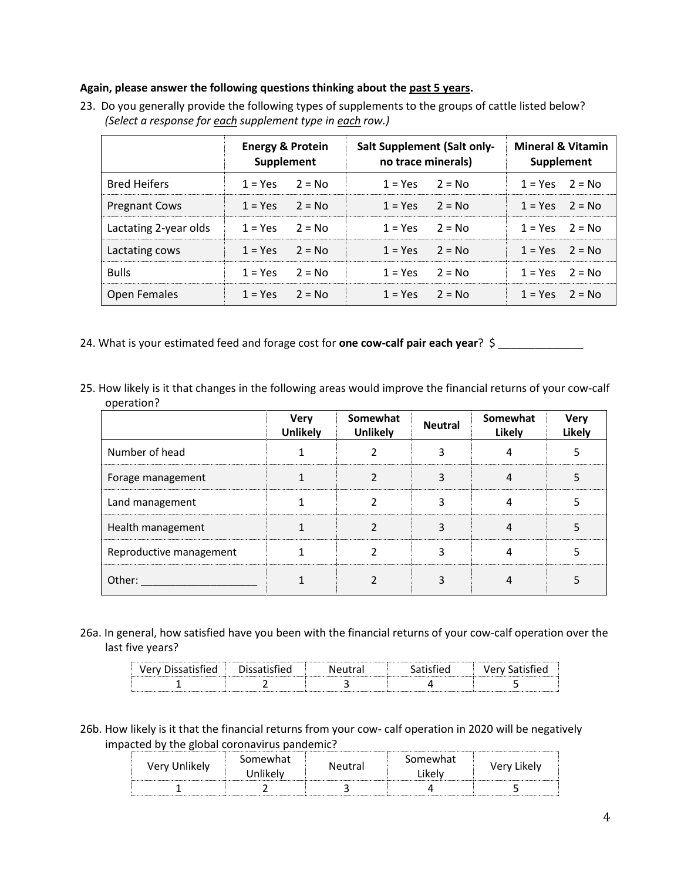### **Again, please answer the following questions thinking about the past 5 years.**

|                       | <b>Energy &amp; Protein</b><br>Supplement |          | <b>Salt Supplement (Salt only-</b><br>no trace minerals) | <b>Mineral &amp; Vitamin</b><br>Supplement |                    |          |
|-----------------------|-------------------------------------------|----------|----------------------------------------------------------|--------------------------------------------|--------------------|----------|
| <b>Bred Heifers</b>   | $1 = Yes$                                 | $2 = No$ | $1 = Yes$                                                | $2 = N_0$                                  | $1 = Yes$          | $2 = No$ |
| <b>Pregnant Cows</b>  | $1 = Yes$                                 | $2 = No$ | $1 = Yes$                                                | $2 = No$                                   | $1 = Yes$ $2 = No$ |          |
| Lactating 2-year olds | $1 = Yes$                                 | $2 = No$ | $1 = Yes$                                                | $2 = No$                                   | $1 = Yes$          | $2 = No$ |
| Lactating cows        | $1 = Yes$                                 | $2 = No$ | $1 = Yes$                                                | $2 = No$                                   | $1 = Yes$          | $2 = No$ |
| <b>Bulls</b>          | $1 = Yes$                                 | $2 = No$ | $1 = Yes$                                                | $2 = No$                                   | $1 = Yes$ $2 = No$ |          |
| <b>Open Females</b>   | $1 = Yes$                                 | $2 = No$ | $1 = Yes$                                                | $2 = No$                                   | $1 = Yes$          | $2 = No$ |

23. Do you generally provide the following types of supplements to the groups of cattle listed below? *(Select a response for each supplement type in each row.)*

- 24. What is your estimated feed and forage cost for **one cow-calf pair each year**? \$
- 25. How likely is it that changes in the following areas would improve the financial returns of your cow-calf operation?

|                         | <b>Very</b><br><b>Unlikely</b> | Somewhat<br><b>Unlikely</b> | <b>Neutral</b> | Somewhat<br><b>Likely</b> | <b>Very</b><br>Likely |
|-------------------------|--------------------------------|-----------------------------|----------------|---------------------------|-----------------------|
| Number of head          |                                |                             |                |                           |                       |
| Forage management       |                                |                             |                |                           |                       |
| Land management         |                                |                             |                |                           |                       |
| Health management       |                                |                             |                |                           |                       |
| Reproductive management |                                |                             |                |                           |                       |
| Other:                  |                                |                             |                |                           |                       |

26a. In general, how satisfied have you been with the financial returns of your cow-calf operation over the last five years?

| ∼                   |  | - - |  |
|---------------------|--|-----|--|
| <b>A.L.L.L.L.L.</b> |  |     |  |

26b. How likely is it that the financial returns from your cow- calf operation in 2020 will be negatively impacted by the global coronavirus pandemic?

| Very Unlikely | Somewhat<br>Inlikely | Neutral | Somewhat<br>Likelv | Likelv<br>Verv I |
|---------------|----------------------|---------|--------------------|------------------|
|               |                      |         |                    |                  |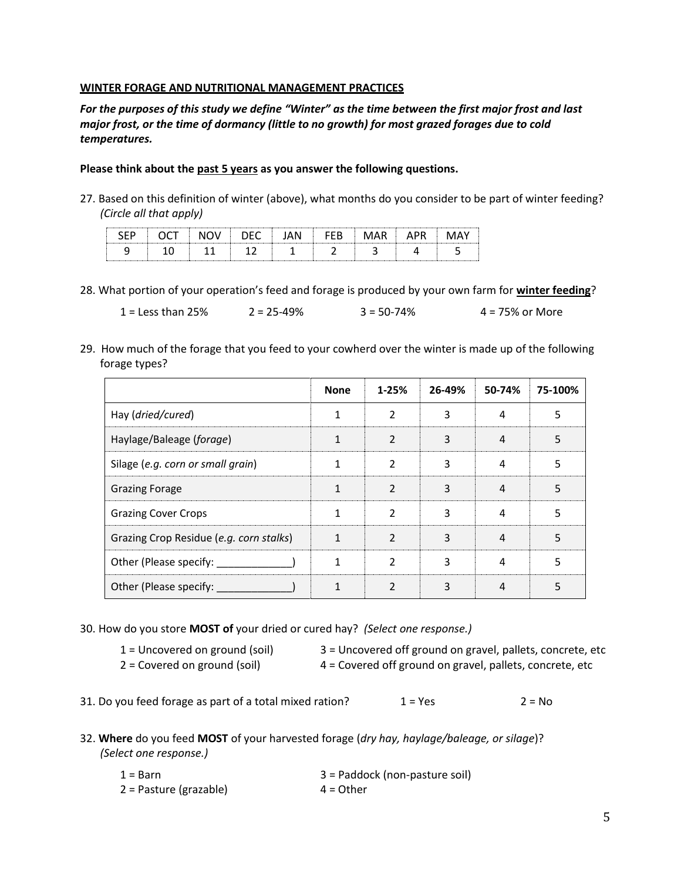### **WINTER FORAGE AND NUTRITIONAL MANAGEMENT PRACTICES**

*For the purposes of this study we define "Winter" as the time between the first major frost and last major frost, or the time of dormancy (little to no growth) for most grazed forages due to cold temperatures.*

### **Please think about the past 5 years as you answer the following questions.**

27. Based on this definition of winter (above), what months do you consider to be part of winter feeding? *(Circle all that apply)*

28. What portion of your operation's feed and forage is produced by your own farm for **winter feeding**?

1 = Less than 25% 2 = 25-49% 3 = 50-74% 4 = 75% or More

29. How much of the forage that you feed to your cowherd over the winter is made up of the following forage types?

|                                         | <b>None</b> | $1 - 25%$      | 26-49% | 50-74% | 75-100% |
|-----------------------------------------|-------------|----------------|--------|--------|---------|
| Hay (dried/cured)                       |             | $\mathcal{P}$  | 3      | 4      | 5       |
| Haylage/Baleage (forage)                | 1           | $\mathcal{P}$  | 3      | 4      | 5       |
| Silage (e.g. corn or small grain)       | 1           | $\mathfrak z$  | 3      | 4      | 5       |
| <b>Grazing Forage</b>                   |             | $\mathcal{P}$  | ς      | 4      | 5       |
| <b>Grazing Cover Crops</b>              | 1           | $\mathcal{P}$  | 3      | 4      | 5       |
| Grazing Crop Residue (e.g. corn stalks) | 1           | $\mathfrak{p}$ | 3      | 4      | 5       |
| Other (Please specify:                  | 1           | $\mathfrak z$  | 3      | 4      | 5       |
| Other (Please specify:                  |             | C              | 3      |        |         |

30. How do you store **MOST of** your dried or cured hay? *(Select one response.)*

1 = Uncovered on ground (soil) 3 = Uncovered off ground on gravel, pallets, concrete, etc

2 = Covered on ground (soil) 4 = Covered off ground on gravel, pallets, concrete, etc

31. Do you feed forage as part of a total mixed ration?  $1 = Yes$  2 = No

32. **Where** do you feed **MOST** of your harvested forage (*dry hay, haylage/baleage, or silage*)? *(Select one response.)*

| 1 = Barn               | 3 = Paddock (non-pasture soil) |
|------------------------|--------------------------------|
| 2 = Pasture (grazable) | $4 = Other$                    |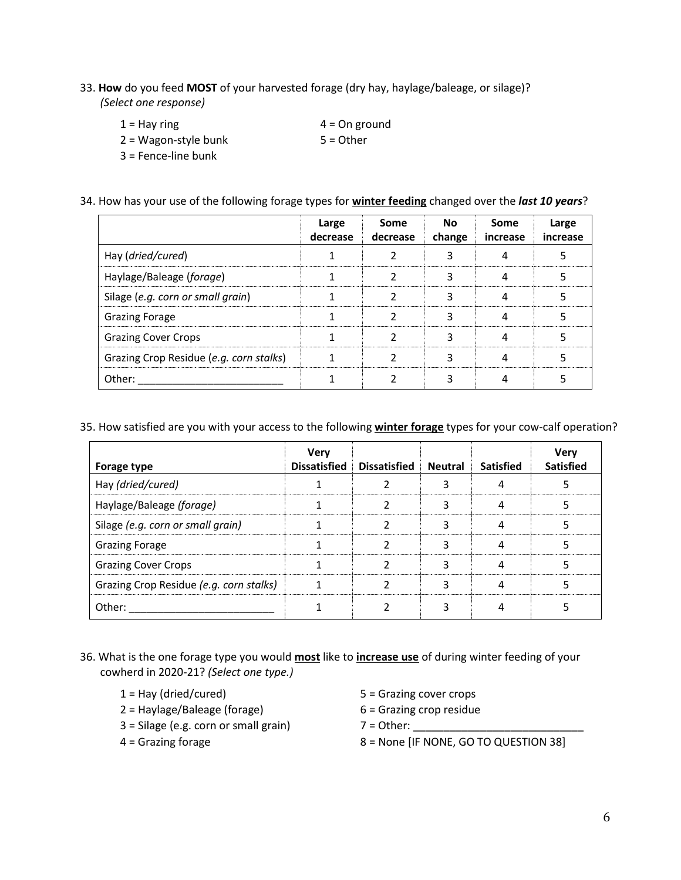33. **How** do you feed **MOST** of your harvested forage (dry hay, haylage/baleage, or silage)? *(Select one response)*

| $1 =$ Hay ring        | $4 = On ground$ |
|-----------------------|-----------------|
| 2 = Wagon-style bunk  | $5 =$ Other     |
| $3$ = Fence-line bunk |                 |

34. How has your use of the following forage types for **winter feeding** changed over the *last 10 years*?

|                                         | Large<br>decrease | Some<br>decrease | <b>No</b><br>change | Some<br>increase | Large<br>increase |
|-----------------------------------------|-------------------|------------------|---------------------|------------------|-------------------|
| Hay (dried/cured)                       |                   |                  |                     |                  |                   |
| Haylage/Baleage (forage)                |                   |                  |                     |                  |                   |
| Silage (e.g. corn or small grain)       |                   |                  |                     | Δ                |                   |
| <b>Grazing Forage</b>                   |                   |                  |                     |                  |                   |
| <b>Grazing Cover Crops</b>              |                   |                  |                     |                  |                   |
| Grazing Crop Residue (e.g. corn stalks) |                   |                  |                     |                  |                   |
| Other:                                  |                   |                  |                     |                  |                   |

35. How satisfied are you with your access to the following **winter forage** types for your cow-calf operation?

| Forage type                             | <b>Verv</b><br><b>Dissatisfied</b> | <b>Dissatisfied</b> | <b>Neutral</b> | <b>Satisfied</b> | Verv<br><b>Satisfied</b> |
|-----------------------------------------|------------------------------------|---------------------|----------------|------------------|--------------------------|
| Hay (dried/cured)                       |                                    |                     |                |                  |                          |
| Haylage/Baleage (forage)                |                                    |                     |                |                  |                          |
| Silage (e.g. corn or small grain)       |                                    |                     |                |                  |                          |
| <b>Grazing Forage</b>                   |                                    |                     |                |                  |                          |
| <b>Grazing Cover Crops</b>              |                                    |                     |                |                  |                          |
| Grazing Crop Residue (e.g. corn stalks) |                                    |                     |                |                  |                          |
| Other:                                  |                                    |                     |                |                  |                          |

- 36. What is the one forage type you would **most** like to **increase use** of during winter feeding of your cowherd in 2020-21? *(Select one type.)*
	-
	- 2 = Haylage/Baleage (forage) 6 = Grazing crop residue
	- 3 = Silage (e.g. corn or small grain) 7 = Other: \_\_\_\_\_\_\_\_\_\_\_\_\_\_\_\_\_\_\_\_\_\_\_\_\_\_\_\_
	-
	- 1 = Hay (dried/cured) 5 = Grazing cover crops
		-

4 = Grazing forage 8 = None [IF NONE, GO TO QUESTION 38]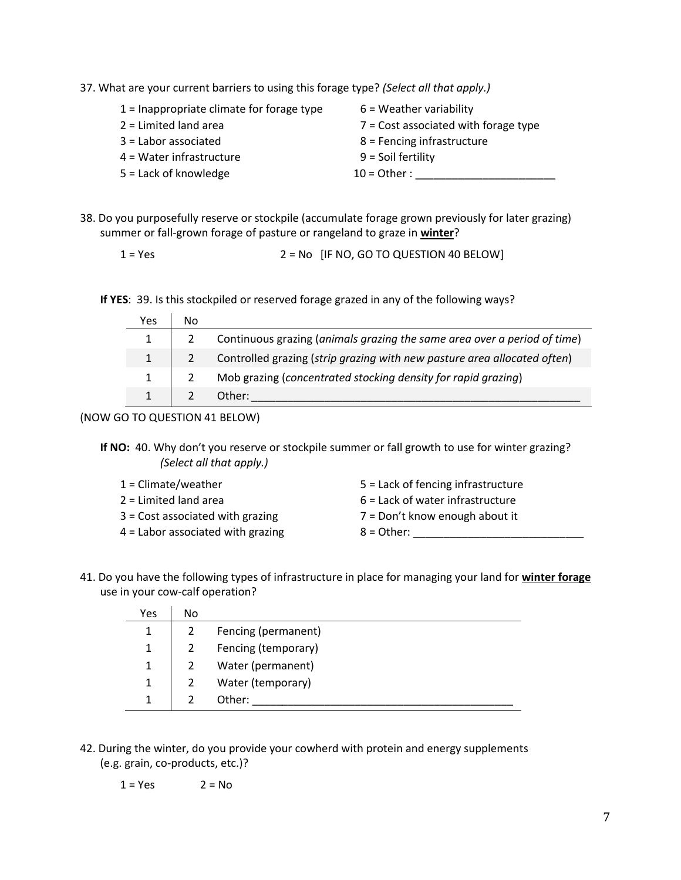37. What are your current barriers to using this forage type? *(Select all that apply.)*

| $1$ = Inappropriate climate for forage type | $6$ = Weather variability              |
|---------------------------------------------|----------------------------------------|
| $2 =$ Limited land area                     | $7 =$ Cost associated with forage type |
| $3 =$ Labor associated                      | 8 = Fencing infrastructure             |
| $4$ = Water infrastructure                  | $9 =$ Soil fertility                   |
| $5 =$ Lack of knowledge                     | $10 =$ Other:                          |
|                                             |                                        |

38. Do you purposefully reserve or stockpile (accumulate forage grown previously for later grazing) summer or fall-grown forage of pasture or rangeland to graze in **winter**?

 $1 = Yes$   $2 = No$  [IF NO, GO TO QUESTION 40 BELOW]

**If YES**: 39. Is this stockpiled or reserved forage grazed in any of the following ways?

| Yes | No |                                                                            |
|-----|----|----------------------------------------------------------------------------|
|     |    | 2 Continuous grazing (animals grazing the same area over a period of time) |
|     |    | Controlled grazing (strip grazing with new pasture area allocated often)   |
|     |    | Mob grazing (concentrated stocking density for rapid grazing)              |
|     |    | Other:                                                                     |

(NOW GO TO QUESTION 41 BELOW)

If NO: 40. Why don't you reserve or stockpile summer or fall growth to use for winter grazing? *(Select all that apply.)*

| 1 = Climate/weather               | $5$ = Lack of fencing infrastructure |
|-----------------------------------|--------------------------------------|
| 2 = Limited land area             | $6$ = Lack of water infrastructure   |
| 3 = Cost associated with grazing  | 7 = Don't know enough about it       |
| 4 = Labor associated with grazing | $8 =$ Other:                         |

41. Do you have the following types of infrastructure in place for managing your land for **winter forage** use in your cow-calf operation?

| Yes          | No |                     |
|--------------|----|---------------------|
|              |    | Fencing (permanent) |
|              |    | Fencing (temporary) |
|              |    | Water (permanent)   |
| $\mathbf{1}$ |    | Water (temporary)   |
|              |    | Other:              |

42. During the winter, do you provide your cowherd with protein and energy supplements (e.g. grain, co-products, etc.)?

$$
1 = Yes \t 2 = No
$$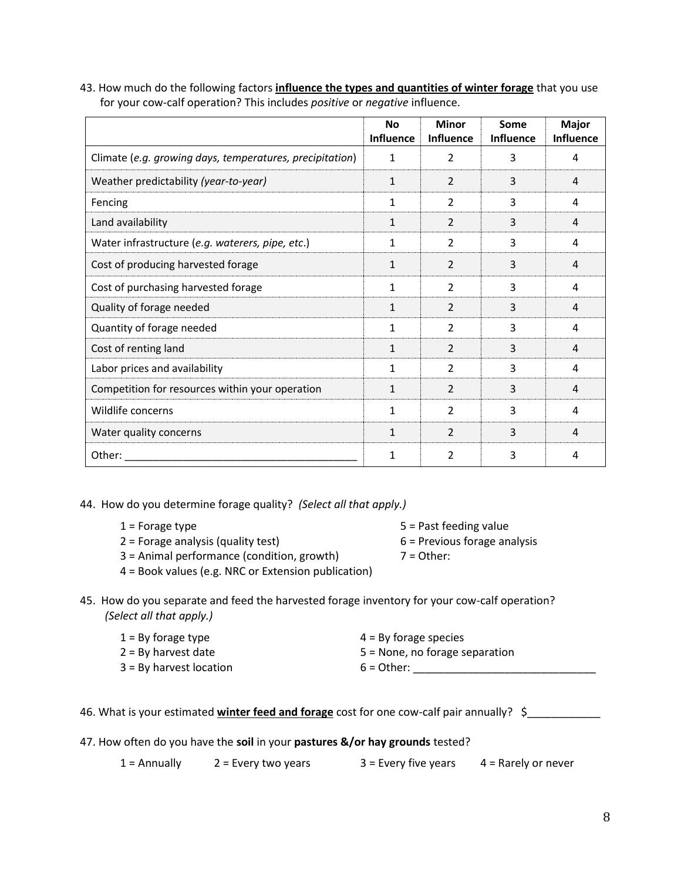43. How much do the following factors **influence the types and quantities of winter forage** that you use for your cow-calf operation? This includes *positive* or *negative* influence.

|                                                          | <b>No</b><br><b>Influence</b> | <b>Minor</b><br><b>Influence</b> | Some<br>Influence | Major<br><b>Influence</b> |
|----------------------------------------------------------|-------------------------------|----------------------------------|-------------------|---------------------------|
| Climate (e.g. growing days, temperatures, precipitation) | 1                             | 2                                | 3                 | 4                         |
| Weather predictability (year-to-year)                    | $\mathbf{1}$                  | 2                                | 3                 | 4                         |
| Fencing                                                  | 1                             | 2                                | 3                 | 4                         |
| Land availability                                        | 1                             | 2                                | 3                 | 4                         |
| Water infrastructure (e.g. waterers, pipe, etc.)         | 1                             | $\overline{2}$                   | 3                 | 4                         |
| Cost of producing harvested forage                       | 1                             | $\overline{2}$                   | 3                 | 4                         |
| Cost of purchasing harvested forage                      | 1                             | 2                                | 3                 | 4                         |
| Quality of forage needed                                 | 1                             | 2                                | 3                 | $\overline{a}$            |
| Quantity of forage needed                                | 1                             | $\overline{2}$                   | 3                 | 4                         |
| Cost of renting land                                     | 1                             | 2                                | 3                 | 4                         |
| Labor prices and availability                            | 1                             | $\overline{2}$                   | 3                 | 4                         |
| Competition for resources within your operation          | 1                             | 2                                | 3                 | 4                         |
| Wildlife concerns                                        | 1                             | $\mathcal{P}$                    | 3                 | 4                         |
| Water quality concerns                                   | 1                             | 2                                | 3                 | 4                         |
| Other:                                                   | 1                             | $\overline{2}$                   | 3                 | 4                         |

44. How do you determine forage quality? *(Select all that apply.)*

| $1$ = Forage type                          | 5 = Past feeding value         |
|--------------------------------------------|--------------------------------|
| 2 = Forage analysis (quality test)         | $6$ = Previous forage analysis |
| 3 = Animal performance (condition, growth) | $7 =$ Other:                   |

- 4 = Book values (e.g. NRC or Extension publication)
- 45. How do you separate and feed the harvested forage inventory for your cow-calf operation? *(Select all that apply.)*

| $1 = By forage type$    | 4 = By forage species            |
|-------------------------|----------------------------------|
| 2 = By harvest date     | $5$ = None, no forage separation |
| 3 = By harvest location | $6 = Other:$                     |

- 47. How often do you have the **soil** in your **pastures &/or hay grounds** tested?
	- $1 =$  Annually 2 = Every two years 3 = Every five years 4 = Rarely or never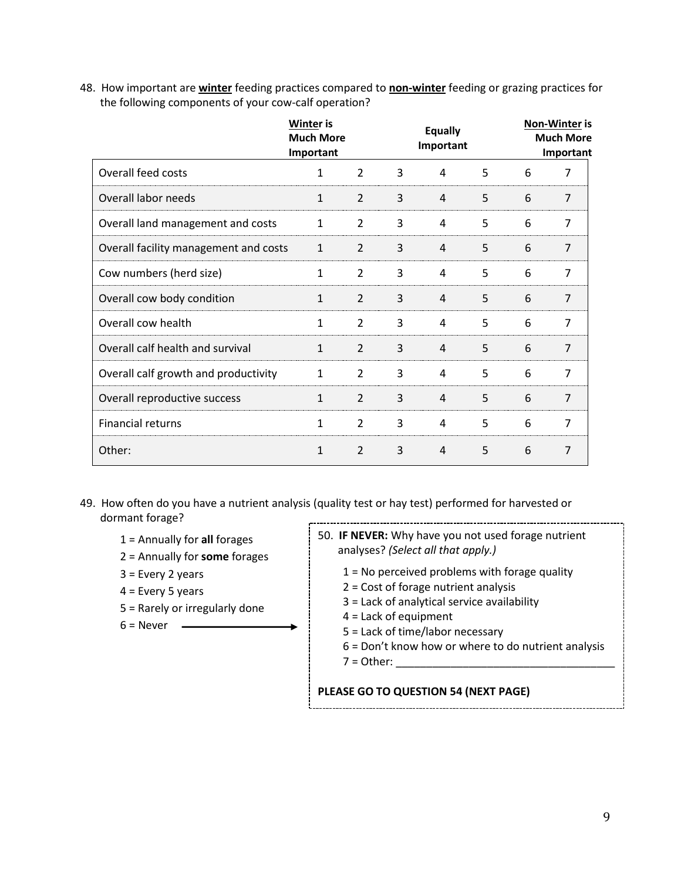48. How important are **winter** feeding practices compared to **non-winter** feeding or grazing practices for the following components of your cow-calf operation?

|                                       | <b>Winter is</b><br><b>Much More</b><br>Important |                          |   | <b>Equally</b><br>Important |   |   | <b>Non-Winter is</b><br><b>Much More</b><br>Important |
|---------------------------------------|---------------------------------------------------|--------------------------|---|-----------------------------|---|---|-------------------------------------------------------|
| Overall feed costs                    | 1                                                 | $\overline{2}$           | 3 | 4                           | 5 | 6 | 7                                                     |
| Overall labor needs                   | $\mathbf{1}$                                      | $\overline{2}$           | 3 | 4                           | 5 | 6 | 7                                                     |
| Overall land management and costs     | $\mathbf{1}$                                      | $\overline{2}$           | 3 | 4                           | 5 | 6 | $\overline{7}$                                        |
| Overall facility management and costs | $\mathbf{1}$                                      | $\overline{2}$           | 3 | $\overline{4}$              | 5 | 6 | $\overline{7}$                                        |
| Cow numbers (herd size)               | 1                                                 | $\overline{2}$           | 3 | 4                           | 5 | 6 | $\overline{7}$                                        |
| Overall cow body condition            | 1                                                 | $\overline{2}$           | 3 | 4                           | 5 | 6 | 7                                                     |
| Overall cow health                    | 1                                                 | $\overline{\phantom{a}}$ | 3 | 4                           | 5 | 6 | $\overline{7}$                                        |
| Overall calf health and survival      | 1                                                 | $\overline{2}$           | 3 | 4                           | 5 | 6 | $\overline{7}$                                        |
| Overall calf growth and productivity  | 1                                                 | 2                        | 3 | 4                           | 5 | 6 | 7                                                     |
| Overall reproductive success          | 1                                                 | $\mathfrak{D}$           | 3 | 4                           | 5 | 6 | $\overline{7}$                                        |
| <b>Financial returns</b>              | 1                                                 | $\overline{2}$           | 3 | 4                           | 5 | 6 | 7                                                     |
| Other:                                | 1                                                 | $\overline{2}$           | 3 | 4                           | 5 | 6 | $\overline{7}$                                        |

- 49. How often do you have a nutrient analysis (quality test or hay test) performed for harvested or dormant forage?
	- 1 = Annually for **all** forages
	- 2 = Annually for **some** forages
	- 3 = Every 2 years
	- 4 = Every 5 years
	- 5 = Rarely or irregularly done

 $6 =$  Never  $\qquad$ 

- 50. **IF NEVER:** Why have you not used forage nutrient analyses? *(Select all that apply.)*
	- 1 = No perceived problems with forage quality
	- 2 = Cost of forage nutrient analysis
	- 3 = Lack of analytical service availability
	- 4 = Lack of equipment
	- 5 = Lack of time/labor necessary
	- 6 = Don't know how or where to do nutrient analysis
	- $7 =$  Other:

## **PLEASE GO TO QUESTION 54 (NEXT PAGE)**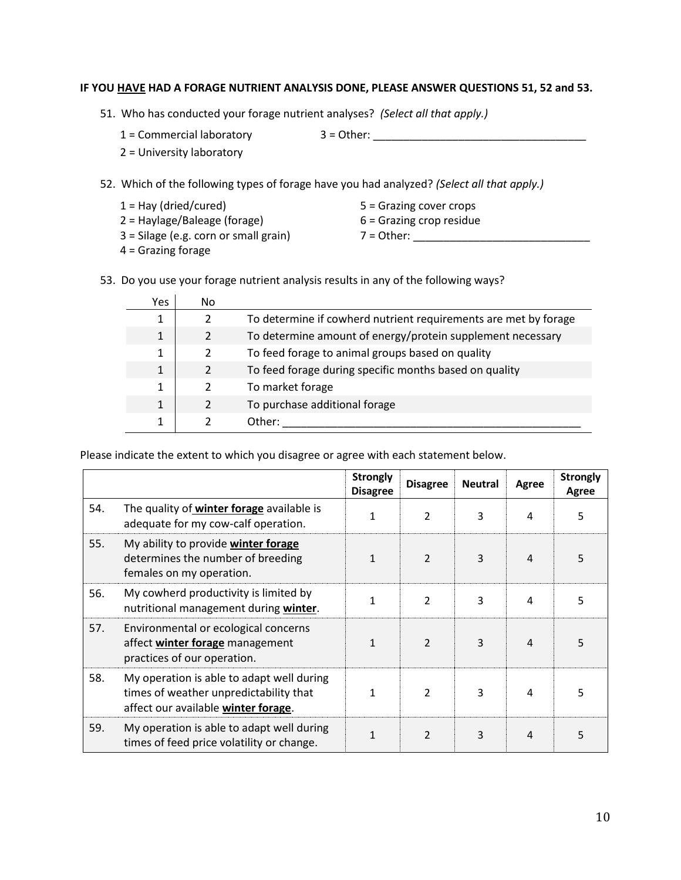### **IF YOU HAVE HAD A FORAGE NUTRIENT ANALYSIS DONE, PLEASE ANSWER QUESTIONS 51, 52 and 53.**

- 51. Who has conducted your forage nutrient analyses? *(Select all that apply.)*
	-
	- $1 =$  Commercial laboratory  $3 =$  Other:
	- 2 = University laboratory

52. Which of the following types of forage have you had analyzed? *(Select all that apply.)*

- 1 = Hay (dried/cured) 5 = Grazing cover crops 2 = Haylage/Baleage (forage) 6 = Grazing crop residue 3 = Silage (e.g. corn or small grain) 7 = Other: \_\_\_\_\_\_\_\_\_\_\_\_\_\_\_\_\_\_\_\_\_\_\_\_\_\_\_\_\_
- 4 = Grazing forage
- 53. Do you use your forage nutrient analysis results in any of the following ways?

| Yes | No             |                                                                 |
|-----|----------------|-----------------------------------------------------------------|
|     |                | To determine if cowherd nutrient requirements are met by forage |
| 1   | $\mathcal{P}$  | To determine amount of energy/protein supplement necessary      |
| 1   | $\mathcal{L}$  | To feed forage to animal groups based on quality                |
| 1   |                | To feed forage during specific months based on quality          |
| 1   |                | To market forage                                                |
| 1   | $\mathfrak{p}$ | To purchase additional forage                                   |
|     |                | Other:                                                          |

Please indicate the extent to which you disagree or agree with each statement below.

|     |                                                                                                                            | <b>Strongly</b><br><b>Disagree</b> | <b>Disagree</b> | <b>Neutral</b> | Agree | <b>Strongly</b><br>Agree |
|-----|----------------------------------------------------------------------------------------------------------------------------|------------------------------------|-----------------|----------------|-------|--------------------------|
| 54. | The quality of winter forage available is<br>adequate for my cow-calf operation.                                           | 1                                  | 2               | 3              | 4     | 5                        |
| 55. | My ability to provide winter forage<br>determines the number of breeding<br>females on my operation.                       | 1                                  | $\mathcal{P}$   | 3              | 4     | 5                        |
| 56. | My cowherd productivity is limited by<br>nutritional management during winter.                                             | 1                                  | $\mathcal{P}$   | 3              | 4     | 5                        |
| 57. | Environmental or ecological concerns<br>affect winter forage management<br>practices of our operation.                     | 1                                  | $\mathfrak{p}$  | 3              | 4     |                          |
| 58. | My operation is able to adapt well during<br>times of weather unpredictability that<br>affect our available winter forage. | 1                                  | $\mathfrak z$   | 3              | 4     |                          |
| 59. | My operation is able to adapt well during<br>times of feed price volatility or change.                                     | 1                                  | $\mathcal{P}$   | 3              | 4     | 5                        |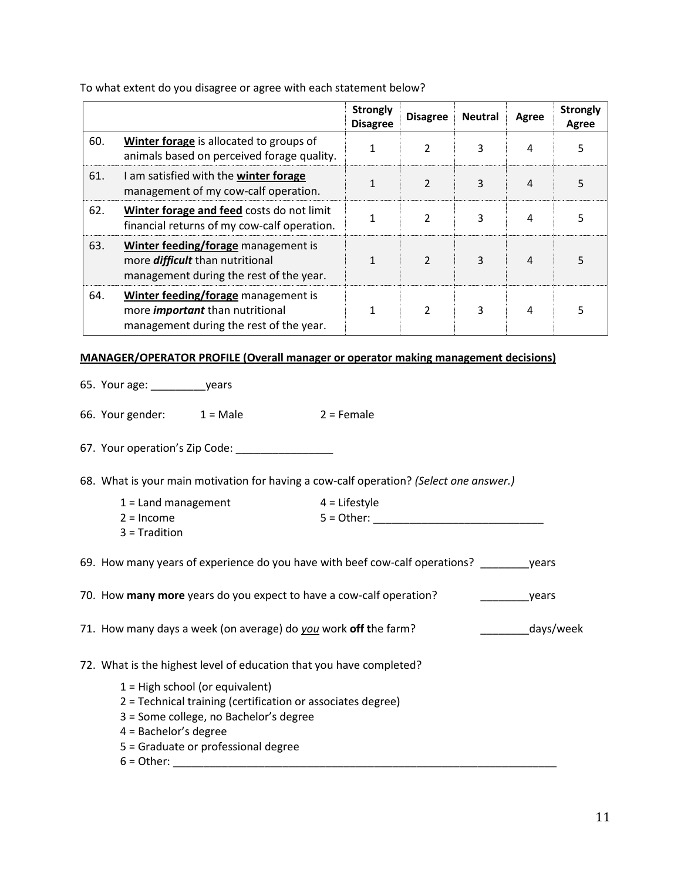**Strongly Disagree Disagree Neutral Agree Strongly Agree** 60. **Winter forage** is allocated to groups of animals based on perceived forage quality. <sup>1</sup> <sup>2</sup> <sup>3</sup> <sup>4</sup> <sup>5</sup> 61. I am satisfied with the **winter forage** management of my cow-calf operation. 1 2 3 4 5 62. **Winter forage and feed** costs do not limit financial returns of my cow-calf operation. <sup>1</sup> <sup>2</sup> <sup>3</sup> <sup>4</sup> <sup>5</sup> 63. **Winter feeding/forage** management is more *difficult* than nutritional management during the rest of the year.  $\begin{array}{c|ccccccccccccccccc} 1 & & 2 & & 3 & & 4 & & 5 \end{array}$ 64. **Winter feeding/forage** management is more *important* than nutritional management during the rest of the year.  $\begin{array}{c|ccccccccccccccccccccc} 1 & & 2 & & 3 & & 4 & & 5 \end{array}$ 

To what extent do you disagree or agree with each statement below?

#### **MANAGER/OPERATOR PROFILE (Overall manager or operator making management decisions)**

|  | 65. Your age: |  |  | vears |
|--|---------------|--|--|-------|
|--|---------------|--|--|-------|

66. Your gender:  $1 = Male$   $2 = Female$ 

67. Your operation's Zip Code:

68. What is your main motivation for having a cow-calf operation? *(Select one answer.)*

| 1 = Land management | $4$ = Lifestyle |
|---------------------|-----------------|
| 2 = Income          | $5 =$ Other:    |
| $\sim$ $ \cdots$    |                 |

3 = Tradition

69. How many years of experience do you have with beef cow-calf operations? \_\_\_\_\_\_\_\_years

|  |  |  |  | 70. How many more years do you expect to have a cow-calf operation? | vears |
|--|--|--|--|---------------------------------------------------------------------|-------|
|--|--|--|--|---------------------------------------------------------------------|-------|

71. How many days a week (on average) do *you* work **off t**he farm? \_\_\_\_\_\_\_\_days/week

72. What is the highest level of education that you have completed?

- 1 = High school (or equivalent)
- 2 = Technical training (certification or associates degree)
- 3 = Some college, no Bachelor's degree
- 4 = Bachelor's degree
- 5 = Graduate or professional degree
- 6 = Other: \_\_\_\_\_\_\_\_\_\_\_\_\_\_\_\_\_\_\_\_\_\_\_\_\_\_\_\_\_\_\_\_\_\_\_\_\_\_\_\_\_\_\_\_\_\_\_\_\_\_\_\_\_\_\_\_\_\_\_\_\_\_\_